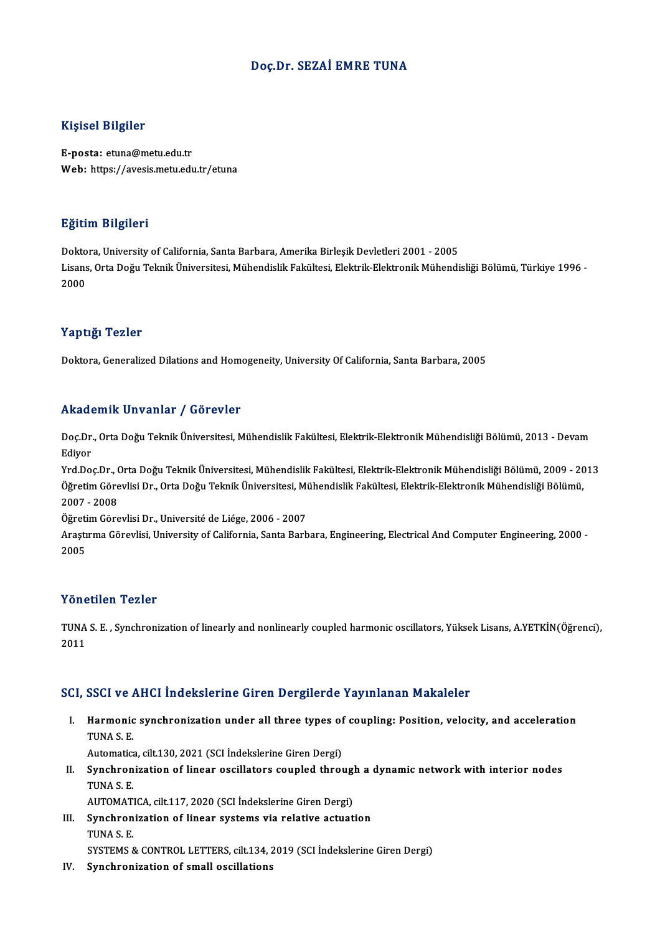## Doç.Dr. SEZAİ EMRE TUNA

## Kişisel Bilgiler

E-posta: etuna@metu.edu.tr Web: https://avesis.metu.edu.tr/etuna

### Eğitim Bilgileri

<mark>Eğitim Bilgileri</mark><br>Doktora, University of California, Santa Barbara, Amerika Birleşik Devletleri 2001 - 2005<br>Lisans, Orta Doğu Tolmik Üniversitesi, Mühandislik Fakültesi, Floktrik Floktronik Mühandi Lisans, Orta Doğu Teknik Üniversitesi, Mühendislik Fakültesi, Elektrik-Elektronik Mühendisliği Bölümü, Türkiye 1996 -<br>2000 Dokto<br>Lisans<br>2000

### Yaptığı Tezler

Doktora, Generalized Dilations and Homogeneity, University Of California, Santa Barbara, 2005

### Akademik Unvanlar / Görevler

Akademik Unvanlar / Görevler<br>Doç.Dr., Orta Doğu Teknik Üniversitesi, Mühendislik Fakültesi, Elektrik-Elektronik Mühendisliği Bölümü, 2013 - Devam<br>Ediyor nnaa<br>Doç.Dr<br>Ediyor<br><sup>Vrd.Do</sup> Doç.Dr., Orta Doğu Teknik Üniversitesi, Mühendislik Fakültesi, Elektrik-Elektronik Mühendisliği Bölümü, 2013 - Devam<br>Ediyor<br>Yrd.Doç.Dr., Orta Doğu Teknik Üniversitesi, Mühendislik Fakültesi, Elektrik-Elektronik Mühendisliğ

Ediyor<br>Yrd.Doç.Dr., Orta Doğu Teknik Üniversitesi, Mühendislik Fakültesi, Elektrik-Elektronik Mühendisliği Bölümü, 2009 - 20<br>Öğretim Görevlisi Dr., Orta Doğu Teknik Üniversitesi, Mühendislik Fakültesi, Elektrik-Elektronik Yrd.Doç.Dr., (<br>Öğretim Göre<br>2007 - 2008<br>Öğretim Göre Öğretim Görevlisi Dr., Orta Doğu Teknik Üniversitesi, Mi<br>2007 - 2008<br>Öğretim Görevlisi Dr., Université de Liége, 2006 - 2007<br>Arastuma Görevlisi, University of California, Santa Barb

2007 - 2008<br>Öğretim Görevlisi Dr., Université de Liége, 2006 - 2007<br>Araştırma Görevlisi, University of California, Santa Barbara, Engineering, Electrical And Computer Engineering, 2000 -Öğreti<br>Araştı<br>2005 Yönetilen Tezler

Yönetilen Tezler<br>TUNA S. E. , Synchronization of linearly and nonlinearly coupled harmonic oscillators, Yüksek Lisans, A.YETKİN(Öğrenci),<br>2011 2011

# 2011<br>SCI, SSCI ve AHCI İndekslerine Giren Dergilerde Yayınlanan Makaleler

CI, SSCI ve AHCI İndekslerine Giren Dergilerde Yayınlanan Makaleler<br>I. Harmonic synchronization under all three types of coupling: Position, velocity, and acceleration<br>TIMAS E BBB1 VB1<br>Harmonic<br>TUNA S. E. Harmonic synchronization under all three types of<br>TUNA S. E.<br>Automatica, cilt.130, 2021 (SCI İndekslerine Giren Dergi)<br>Synchronization of linear oscillators sounled throi

TUNA S. E.<br>Automatica, cilt.130, 2021 (SCI İndekslerine Giren Dergi)<br>II. Synchronization of linear oscillators coupled through a dynamic network with interior nodes<br>TINA S. E Automatica<br>Synchron<br>TUNA S. E.<br>AUTOMATI Synchronization of linear oscillators coupled through<br>TUNA S. E.<br>AUTOMATICA, cilt.117, 2020 (SCI İndekslerine Giren Dergi)<br>Synchronization of linear systems via relative astuat

- TUNA S. E.<br>AUTOMATICA, cilt.117, 2020 (SCI İndekslerine Giren Dergi)<br>III. Synchronization of linear systems via relative actuation<br>TUNA S. E AUTOMATE<br>Synchron<br>TUNA S. E.<br>SYSTEMS TUNA S. E.<br>SYSTEMS & CONTROL LETTERS, cilt.134, 2019 (SCI İndekslerine Giren Dergi)
- IV. Synchronization of small oscillations